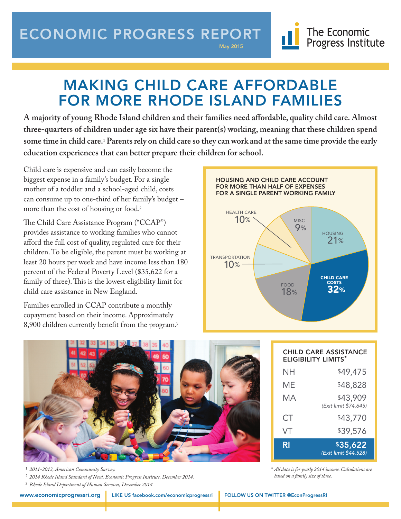## ECONOMIC PROGRESS REPORT

May 2015

# MAKING CHILD CARE AFFORDABLE FOR MORE RHODE ISLAND FAMILIES

**A majority of young Rhode Island children and their families need affordable, quality child care. Almost three-quarters of children under age six have their parent(s) working, meaning that these children spend some time in child care.1 Parents rely on child care so they can work and at the same time provide the early education experiences that can better prepare their children for school.**

Child care is expensive and can easily become the  biggest expense in a family's budget. For a single mother of a toddler and a school-aged child, costs can consume up to one-third of her family's budget – more than the cost of housing or food.2

The Child Care Assistance Program ("CCAP") provides assistance to working families who cannot afford the full cost of quality, regulated care for their children. To be eligible, the parent must be working at least 20 hours per week and have income less than 180 percent of the Federal Poverty Level (\$35,622 for a family of three). This is the lowest eligibility limit for child care assistance in New England.

Families enrolled in CCAP contribute a monthly copayment based on their income. Approximately 8,900 children currently benefit from the program.<sup>3</sup>





<sup>1</sup> *2011-2013, American Community Survey.*  <sup>2</sup> *2014 Rhode Island Standard of Need, Economic Progress Institute, December 2014.*

<sup>3</sup> *Rhode Island Department of Human Services, December 2014*

CHILD CARE ASSISTANCE ELIGIBILITY LIMITS\* NH \$49,475 ME \$48,828 MA  $$43,909$ *(Exit limit \$74,645)* CT \$43,770 VT \$39,576 RI \$35,622 *(Exit limit \$44,528)*

The Economic

Progress Institute

*\* All data is for yearly 2014 income. Calculations are based on a family size of three.*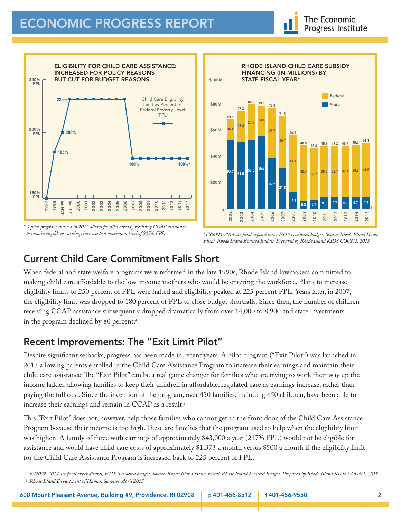

*\* A pilot program enacted in 2012 allows families already receiving CCAP assistance to remain eligible as earnings increase to a maximum level of 225% FPL*



*\* FY2002-2014 are final expenditures, FY15 is enacted budget. Source: Rhode Island House Fiscal, Rhode Island Enacted Budget. Prepared by Rhode Island KIDS COUNT, 2015*

## Current Child Care Commitment Falls Short

When federal and state welfare programs were reformed in the late 1990s, Rhode Island lawmakers committed to making child care affordable to the low-income mothers who would be entering the workforce. Plans to increase eligibility limits to 250 percent of FPL were halted and eligibility peaked at 225 percent FPL. Years later, in 2007, the eligibility limit was dropped to 180 percent of FPL to close budget shortfalls. Since then, the number of children receiving CCAP assistance subsequently dropped dramatically from over 14,000 to 8,900 and state investments in the program declined by 80 percent. 4

### Recent Improvements: The "Exit Limit Pilot"

Despite significant setbacks, progress has been made in recent years. A pilot program ("Exit Pilot") was launched in 2013 allowing parents enrolled in the Child Care Assistance Program to increase their earnings and maintain their child care assistance. The "Exit Pilot" can be a real game changer for families who are trying to work their way up the income ladder, allowing families to keep their children in affordable, regulated care as earnings increase, rather than paying the full cost. Since the inception of the program, over 450 families, including 650 children, have been able to increase their earnings and remain in CCAP as a result. 5

This "Exit Pilot" does not, however, help those families who cannot get in the front door of the Child Care Assistance Program because their income is too high. These are families that the program used to help when the eligibility limit was higher. A family of three with earnings of approximately \$43,000 a year (217% FPL) would not be eligible for assistance and would have child care costs of approximately \$1,373 a month versus \$500 a month if the eligibility limit for the Child Care Assistance Program is increased back to 225 percent of FPL.

<sup>4</sup> *FY2002-2014 are final expenditures, FY15 is enacted budget. Source: Rhode Island House Fiscal, Rhode Island Enacted Budget. Prepared by Rhode Island KIDS COUNT, 2015* <sup>5</sup> *Rhode Island Department of Human Services, April 2015*